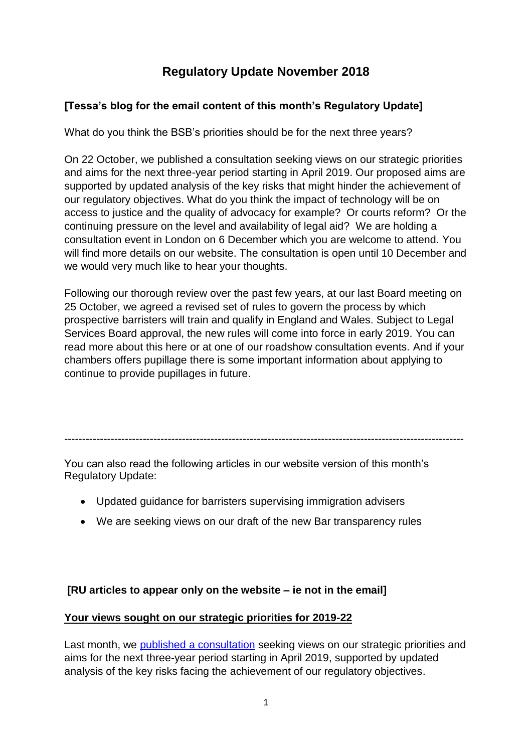# **Regulatory Update November 2018**

# **[Tessa's blog for the email content of this month's Regulatory Update]**

What do you think the BSB's priorities should be for the next three years?

On 22 October, we published a consultation seeking views on our strategic priorities and aims for the next three-year period starting in April 2019. Our proposed aims are supported by updated analysis of the key risks that might hinder the achievement of our regulatory objectives. What do you think the impact of technology will be on access to justice and the quality of advocacy for example? Or courts reform? Or the continuing pressure on the level and availability of legal aid? We are holding a consultation event in London on 6 December which you are welcome to attend. You will find more details on our website. The consultation is open until 10 December and we would very much like to hear your thoughts.

Following our thorough review over the past few years, at our last Board meeting on 25 October, we agreed a revised set of rules to govern the process by which prospective barristers will train and qualify in England and Wales. Subject to Legal Services Board approval, the new rules will come into force in early 2019. You can read more about this here or at one of our roadshow consultation events. And if your chambers offers pupillage there is some important information about applying to continue to provide pupillages in future.

----------------------------------------------------------------------------------------------------------------

You can also read the following articles in our website version of this month's Regulatory Update:

- Updated guidance for barristers supervising immigration advisers
- We are seeking views on our draft of the new Bar transparency rules

# **[RU articles to appear only on the website – ie not in the email]**

## **Your views sought on our strategic priorities for 2019-22**

Last month, we published a [consultation](https://www.barstandardsboard.org.uk/media/1961129/consultation_on_bsb_strategic_aims_2019-22.pdf) seeking views on our strategic priorities and aims for the next three-year period starting in April 2019, supported by updated analysis of the key risks facing the achievement of our regulatory objectives.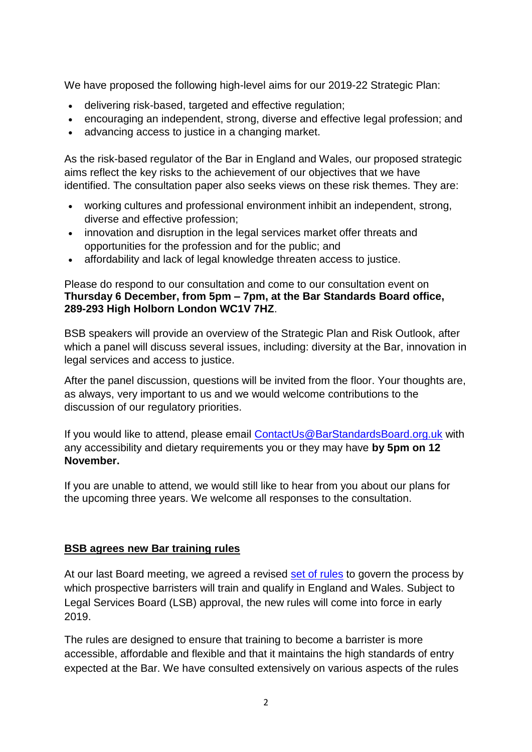We have proposed the following high-level aims for our 2019-22 Strategic Plan:

- delivering risk-based, targeted and effective regulation;
- encouraging an independent, strong, diverse and effective legal profession; and
- advancing access to justice in a changing market.

As the risk-based regulator of the Bar in England and Wales, our proposed strategic aims reflect the key risks to the achievement of our objectives that we have identified. The consultation paper also seeks views on these risk themes. They are:

- working cultures and professional environment inhibit an independent, strong, diverse and effective profession;
- innovation and disruption in the legal services market offer threats and opportunities for the profession and for the public; and
- affordability and lack of legal knowledge threaten access to justice.

Please do respond to our consultation and come to our consultation event on **Thursday 6 December, from 5pm – 7pm, at the Bar Standards Board office, 289-293 High Holborn London WC1V 7HZ**.

BSB speakers will provide an overview of the Strategic Plan and Risk Outlook, after which a panel will discuss several issues, including: diversity at the Bar, innovation in legal services and access to justice.

After the panel discussion, questions will be invited from the floor. Your thoughts are, as always, very important to us and we would welcome contributions to the discussion of our regulatory priorities.

If you would like to attend, please email [ContactUs@BarStandardsBoard.org.uk](mailto:ContactUs@BarStandardsBoard.org.uk?subject=Seminar%20reply%3A) with any accessibility and dietary requirements you or they may have **by 5pm on 12 November.**

If you are unable to attend, we would still like to hear from you about our plans for the upcoming three years. We welcome all responses to the consultation.

## **BSB agrees new Bar training rules**

At our last Board meeting, we agreed a revised [set of rules](https://www.barstandardsboard.org.uk/media/1961480/part_4_new_qualification_rules_draft.pdf) to govern the process by which prospective barristers will train and qualify in England and Wales. Subject to Legal Services Board (LSB) approval, the new rules will come into force in early 2019.

The rules are designed to ensure that training to become a barrister is more accessible, affordable and flexible and that it maintains the high standards of entry expected at the Bar. We have consulted extensively on various aspects of the rules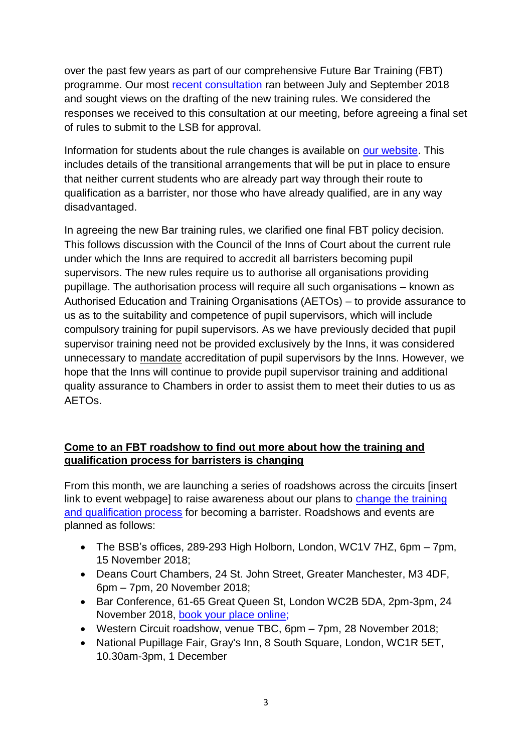over the past few years as part of our comprehensive Future Bar Training (FBT) programme. Our most [recent consultation](https://www.barstandardsboard.org.uk/media-centre/press-releases-and-news/bsb-seeks-views-on-draft-of-new-bar-training-rules/) ran between July and September 2018 and sought views on the drafting of the new training rules. We considered the responses we received to this consultation at our meeting, before agreeing a final set of rules to submit to the LSB for approval.

Information for students about the rule changes is available on [our website.](https://www.barstandardsboard.org.uk/qualifying-as-a-barrister/future-requirements/) This includes details of the transitional arrangements that will be put in place to ensure that neither current students who are already part way through their route to qualification as a barrister, nor those who have already qualified, are in any way disadvantaged.

In agreeing the new Bar training rules, we clarified one final FBT policy decision. This follows discussion with the Council of the Inns of Court about the current rule under which the Inns are required to accredit all barristers becoming pupil supervisors. The new rules require us to authorise all organisations providing pupillage. The authorisation process will require all such organisations – known as Authorised Education and Training Organisations (AETOs) – to provide assurance to us as to the suitability and competence of pupil supervisors, which will include compulsory training for pupil supervisors. As we have previously decided that pupil supervisor training need not be provided exclusively by the Inns, it was considered unnecessary to mandate accreditation of pupil supervisors by the Inns. However, we hope that the Inns will continue to provide pupil supervisor training and additional quality assurance to Chambers in order to assist them to meet their duties to us as AETOs.

# **Come to an FBT roadshow to find out more about how the training and qualification process for barristers is changing**

From this month, we are launching a series of roadshows across the circuits [insert link to event webpage] to raise awareness about our plans to change the training [and qualification process](https://www.barstandardsboard.org.uk/qualifying-as-a-barrister/future-requirements/future-bar-training/future-ways-to-qualify-as-a-barrister/) for becoming a barrister. Roadshows and events are planned as follows:

- The BSB's offices, 289-293 High Holborn, London, WC1V 7HZ, 6pm 7pm, 15 November 2018;
- Deans Court Chambers, 24 St. John Street, Greater Manchester, M3 4DF, 6pm – 7pm, 20 November 2018;
- Bar Conference, 61-65 Great Queen St, London WC2B 5DA, 2pm-3pm, 24 November 2018, [book your place online;](https://www.barcouncil.org.uk/supporting-the-bar/conferences,-training-and-other-events/2018/november/annual-and-young-bar-conference-2018/)
- Western Circuit roadshow, venue TBC, 6pm 7pm, 28 November 2018;
- National Pupillage Fair, Gray's Inn, 8 South Square, London, WC1R 5ET, 10.30am-3pm, 1 December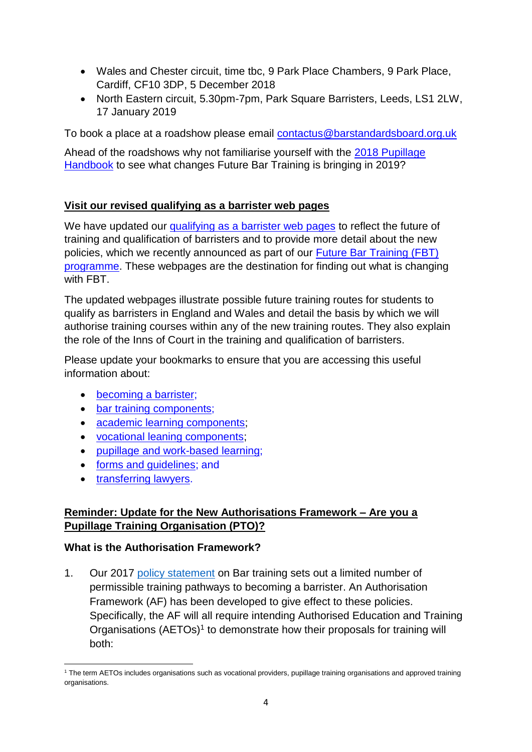- Wales and Chester circuit, time tbc, 9 Park Place Chambers, 9 Park Place, Cardiff, CF10 3DP, 5 December 2018
- North Eastern circuit, 5.30pm-7pm, Park Square Barristers, Leeds, LS1 2LW, 17 January 2019

To book a place at a roadshow please email [contactus@barstandardsboard.org.uk](mailto:contactus@barstandardsboard.org.uk)

Ahead of the roadshows why not familiarise yourself with the [2018 Pupillage](https://www.barstandardsboard.org.uk/media/1946940/bsb_pupillage_handbook_2018_10.8.18.pdf)  [Handbook](https://www.barstandardsboard.org.uk/media/1946940/bsb_pupillage_handbook_2018_10.8.18.pdf) to see what changes Future Bar Training is bringing in 2019?

## **Visit our revised qualifying as a barrister web pages**

We have updated our [qualifying as a barrister web pages](https://www.barstandardsboard.org.uk/qualifying-as-a-barrister/future-requirements/future-bar-training/) to reflect the future of training and qualification of barristers and to provide more detail about the new policies, which we recently announced as part of our [Future Bar Training \(FBT\)](https://www.barstandardsboard.org.uk/qualifying-as-a-barrister/future-requirements/future-bar-training/)  [programme.](https://www.barstandardsboard.org.uk/qualifying-as-a-barrister/future-requirements/future-bar-training/) These webpages are the destination for finding out what is changing with FBT.

The updated webpages illustrate possible future training routes for students to qualify as barristers in England and Wales and detail the basis by which we will authorise training courses within any of the new training routes. They also explain the role of the Inns of Court in the training and qualification of barristers.

Please update your bookmarks to ensure that you are accessing this useful information about:

- [becoming a barrister;](https://www.barstandardsboard.org.uk/qualifying-as-a-barrister/becoming-a-barrister/)
- [bar training components;](https://www.barstandardsboard.org.uk/qualifying-as-a-barrister/bar-training-requirements/pupillage-and-work-based-learning-component/)
- [academic learning components;](https://www.barstandardsboard.org.uk/qualifying-as-a-barrister/bar-training-requirements/academic-learning-components/)
- [vocational leaning components;](https://www.barstandardsboard.org.uk/qualifying-as-a-barrister/bar-training-requirements/vocational-learning-component/)
- [pupillage and work-based learning;](https://www.barstandardsboard.org.uk/qualifying-as-a-barrister/bar-training-requirements/pupillage-and-work-based-learning-component/)
- [forms and guidelines;](https://www.barstandardsboard.org.uk/qualifying-as-a-barrister/bar-training-requirements/forms-and-guidelines/) and
- [transferring lawyers.](https://www.barstandardsboard.org.uk/qualifying-as-a-barrister/bar-training-requirements/transferring-lawyers/)

## **Reminder: Update for the New Authorisations Framework – Are you a Pupillage Training Organisation (PTO)?**

## **What is the Authorisation Framework?**

1. Our 2017 [policy statement](https://www.barstandardsboard.org.uk/media/1825162/032317_fbt_-_policy_statement_version_for_publication.pdf) on Bar training sets out a limited number of permissible training pathways to becoming a barrister. An Authorisation Framework (AF) has been developed to give effect to these policies. Specifically, the AF will all require intending Authorised Education and Training Organisations (AETOs)<sup>1</sup> to demonstrate how their proposals for training will both:

<sup>1</sup> <sup>1</sup> The term AETOs includes organisations such as vocational providers, pupillage training organisations and approved training organisations.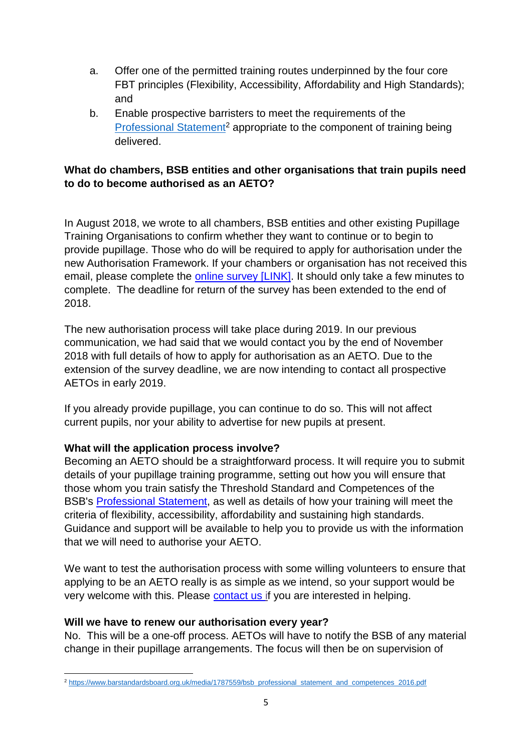- a. Offer one of the permitted training routes underpinned by the four core FBT principles (Flexibility, Accessibility, Affordability and High Standards); and
- b. Enable prospective barristers to meet the requirements of the [Professional Statement](https://www.barstandardsboard.org.uk/media/1787559/bsb_professional_statement_and_competences_2016.pdf)<sup>2</sup> appropriate to the component of training being delivered.

## **What do chambers, BSB entities and other organisations that train pupils need to do to become authorised as an AETO?**

In August 2018, we wrote to all chambers, BSB entities and other existing Pupillage Training Organisations to confirm whether they want to continue or to begin to provide pupillage. Those who do will be required to apply for authorisation under the new Authorisation Framework. If your chambers or organisation has not received this email, please complete the online [survey](https://barstandardsboardemail.org/t/4HUI-CCND-1YMB8J-83NBS-1/c.aspx) [LINK]. It should only take a few minutes to complete. The deadline for return of the survey has been extended to the end of 2018.

The new authorisation process will take place during 2019. In our previous communication, we had said that we would contact you by the end of November 2018 with full details of how to apply for authorisation as an AETO. Due to the extension of the survey deadline, we are now intending to contact all prospective AETOs in early 2019.

If you already provide pupillage, you can continue to do so. This will not affect current pupils, nor your ability to advertise for new pupils at present.

## **What will the application process involve?**

Becoming an AETO should be a straightforward process. It will require you to submit details of your pupillage training programme, setting out how you will ensure that those whom you train satisfy the Threshold Standard and Competences of the BSB's [Professional](https://www.barstandardsboard.org.uk/media/1787559/bsb_professional_statement_and_competences_2016.pdf) Statement, as well as details of how your training will meet the criteria of flexibility, accessibility, affordability and sustaining high standards. Guidance and support will be available to help you to provide us with the information that we will need to authorise your AETO.

We want to test the authorisation process with some willing volunteers to ensure that applying to be an AETO really is as simple as we intend, so your support would be very welcome with this. Please [contact](mailto:authorisations@BarStandardsBoard.org.uk) us if you are interested in helping.

## **Will we have to renew our authorisation every year?**

No. This will be a one-off process. AETOs will have to notify the BSB of any material change in their pupillage arrangements. The focus will then be on supervision of

 $\overline{a}$ <sup>2</sup> [https://www.barstandardsboard.org.uk/media/1787559/bsb\\_professional\\_statement\\_and\\_competences\\_2016.pdf](https://www.barstandardsboard.org.uk/media/1787559/bsb_professional_statement_and_competences_2016.pdf)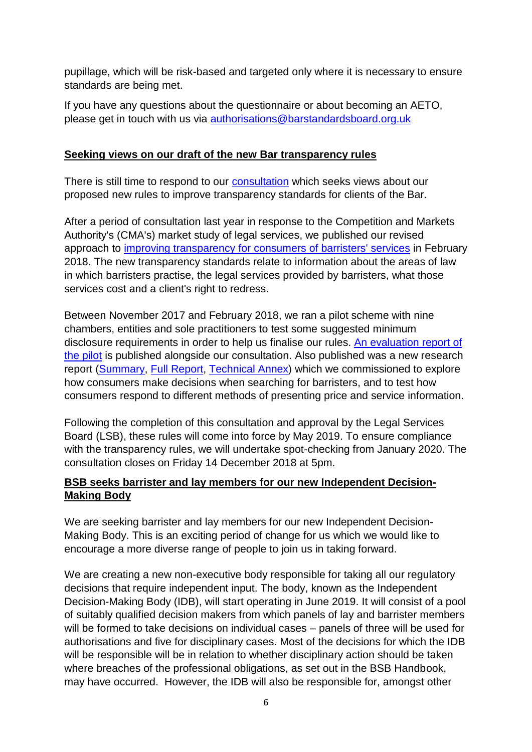pupillage, which will be risk-based and targeted only where it is necessary to ensure standards are being met.

If you have any questions about the questionnaire or about becoming an AETO, please get in touch with us via [authorisations@barstandardsboard.org.uk](mailto:authorisations@barstandardsboard.org.uk)

#### **Seeking views on our draft of the new Bar transparency rules**

There is still time to respond to our [consultation](https://www.barstandardsboard.org.uk/media/1952234/transparency_standards_rules_consultation_final.pdf) which seeks views about our proposed new rules to improve transparency standards for clients of the Bar.

After a period of consultation last year in response to the Competition and Markets Authority's (CMA's) market study of legal services, we published our revised approach to improving [transparency](https://www.barstandardsboard.org.uk/media/1922489/summary_of_responses_to_the_bsb_s_policy_consultation_on_transparency_standards_updated.pdf) for consumers of barristers' services in February 2018. The new transparency standards relate to information about the areas of law in which barristers practise, the legal services provided by barristers, what those services cost and a client's right to redress.

Between November 2017 and February 2018, we ran a pilot scheme with nine chambers, entities and sole practitioners to test some suggested minimum disclosure requirements in order to help us finalise our rules. An [evaluation](https://www.barstandardsboard.org.uk/media/1952239/transparency_standards_pilot_report_final.pdf) report of the [pilot](https://www.barstandardsboard.org.uk/media/1952239/transparency_standards_pilot_report_final.pdf) is published alongside our consultation. Also published was a new research report [\(Summary,](https://www.barstandardsboard.org.uk/media/1952271/price_and_service_transparency_-_research_summary_final.pdf) Full [Report,](https://www.barstandardsboard.org.uk/media/1952275/price_transparency_research_report_-_final.pdf) [Technical](https://www.barstandardsboard.org.uk/media/1952279/price_and_service_transparency_research_-_technical_annex.pdf) Annex) which we commissioned to explore how consumers make decisions when searching for barristers, and to test how consumers respond to different methods of presenting price and service information.

Following the completion of this consultation and approval by the Legal Services Board (LSB), these rules will come into force by May 2019. To ensure compliance with the transparency rules, we will undertake spot-checking from January 2020. The consultation closes on Friday 14 December 2018 at 5pm.

#### **BSB seeks barrister and lay members for our new Independent Decision-Making Body**

We are seeking barrister and lay members for our new Independent Decision-Making Body. This is an exciting period of change for us which we would like to encourage a more diverse range of people to join us in taking forward.

We are creating a new non-executive body responsible for taking all our regulatory decisions that require independent input. The body, known as the Independent Decision-Making Body (IDB), will start operating in June 2019. It will consist of a pool of suitably qualified decision makers from which panels of lay and barrister members will be formed to take decisions on individual cases – panels of three will be used for authorisations and five for disciplinary cases. Most of the decisions for which the IDB will be responsible will be in relation to whether disciplinary action should be taken where breaches of the professional obligations, as set out in the BSB Handbook, may have occurred. However, the IDB will also be responsible for, amongst other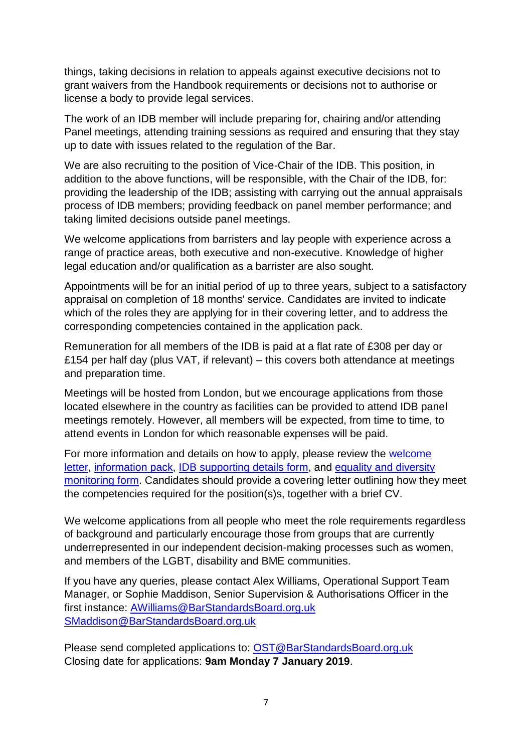things, taking decisions in relation to appeals against executive decisions not to grant waivers from the Handbook requirements or decisions not to authorise or license a body to provide legal services.

The work of an IDB member will include preparing for, chairing and/or attending Panel meetings, attending training sessions as required and ensuring that they stay up to date with issues related to the regulation of the Bar.

We are also recruiting to the position of Vice-Chair of the IDB. This position, in addition to the above functions, will be responsible, with the Chair of the IDB, for: providing the leadership of the IDB; assisting with carrying out the annual appraisals process of IDB members; providing feedback on panel member performance; and taking limited decisions outside panel meetings.

We welcome applications from barristers and lay people with experience across a range of practice areas, both executive and non-executive. Knowledge of higher legal education and/or qualification as a barrister are also sought.

Appointments will be for an initial period of up to three years, subject to a satisfactory appraisal on completion of 18 months' service. Candidates are invited to indicate which of the roles they are applying for in their covering letter, and to address the corresponding competencies contained in the application pack.

Remuneration for all members of the IDB is paid at a flat rate of £308 per day or £154 per half day (plus VAT, if relevant) – this covers both attendance at meetings and preparation time.

Meetings will be hosted from London, but we encourage applications from those located elsewhere in the country as facilities can be provided to attend IDB panel meetings remotely. However, all members will be expected, from time to time, to attend events in London for which reasonable expenses will be paid.

For more information and details on how to apply, please review the [welcome](https://www.barstandardsboard.org.uk/media/1962370/welcome_letter_idb_recruitment.doc) [letter,](https://www.barstandardsboard.org.uk/media/1962370/welcome_letter_idb_recruitment.doc) [information](https://www.barstandardsboard.org.uk/media/1962374/idb_information_pack_-_lay_and_barrister_members_-_november_2018_-_final.docx) pack, IDB [supporting](https://www.barstandardsboard.org.uk/media/1962378/idb_supporting_details_form_-_final.docx) details form, and equality and [diversity](https://www.barstandardsboard.org.uk/media/1962382/equality__diversity_monitoring_form_april_2017.docx) [monitoring](https://www.barstandardsboard.org.uk/media/1962382/equality__diversity_monitoring_form_april_2017.docx) form. Candidates should provide a covering letter outlining how they meet the competencies required for the position(s)s, together with a brief CV.

We welcome applications from all people who meet the role requirements regardless of background and particularly encourage those from groups that are currently underrepresented in our independent decision-making processes such as women, and members of the LGBT, disability and BME communities.

If you have any queries, please contact Alex Williams, Operational Support Team Manager, or Sophie Maddison, Senior Supervision & Authorisations Officer in the first instance: [AWilliams@BarStandardsBoard.org.uk](mailto:AWilliams@BarStandardsBoard.org.uk) [SMaddison@BarStandardsBoard.org.uk](mailto:SMaddison@BarStandardsBoard.org.uk)

Please send completed applications to: [OST@BarStandardsBoard.org.uk](mailto:OST@BarStandardsBoard.org.uk) Closing date for applications: **9am Monday 7 January 2019**.